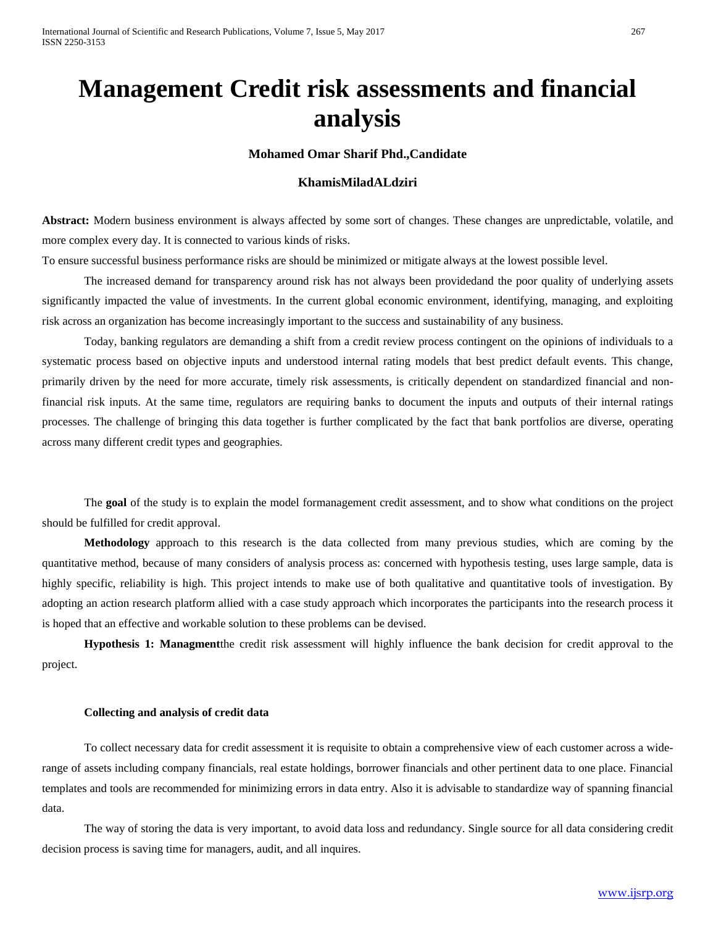# **Management Credit risk assessments and financial analysis**

# **Mohamed Omar Sharif Phd.,Candidate**

## **KhamisMiladALdziri**

**Abstract:** Modern business environment is always affected by some sort of changes. These changes are unpredictable, volatile, and more complex every day. It is connected to various kinds of risks.

To ensure successful business performance risks are should be minimized or mitigate always at the lowest possible level.

The increased demand for transparency around risk has not always been providedand the poor quality of underlying assets significantly impacted the value of investments. In the current global economic environment, identifying, managing, and exploiting risk across an organization has become increasingly important to the success and sustainability of any business.

Today, banking regulators are demanding a shift from a credit review process contingent on the opinions of individuals to a systematic process based on objective inputs and understood internal rating models that best predict default events. This change, primarily driven by the need for more accurate, timely risk assessments, is critically dependent on standardized financial and nonfinancial risk inputs. At the same time, regulators are requiring banks to document the inputs and outputs of their internal ratings processes. The challenge of bringing this data together is further complicated by the fact that bank portfolios are diverse, operating across many different credit types and geographies.

The **goal** of the study is to explain the model formanagement credit assessment, and to show what conditions on the project should be fulfilled for credit approval.

**Methodology** approach to this research is the data collected from many previous studies, which are coming by the quantitative method, because of many considers of analysis process as: concerned with hypothesis testing, uses large sample, data is highly specific, reliability is high. This project intends to make use of both qualitative and quantitative tools of investigation. By adopting an action research platform allied with a case study approach which incorporates the participants into the research process it is hoped that an effective and workable solution to these problems can be devised.

**Hypothesis 1: Managment**the credit risk assessment will highly influence the bank decision for credit approval to the project.

#### **Collecting and analysis of credit data**

To collect necessary data for credit assessment it is requisite to obtain a comprehensive view of each customer across a widerange of assets including company financials, real estate holdings, borrower financials and other pertinent data to one place. Financial templates and tools are recommended for minimizing errors in data entry. Also it is advisable to standardize way of spanning financial data.

The way of storing the data is very important, to avoid data loss and redundancy. Single source for all data considering credit decision process is saving time for managers, audit, and all inquires.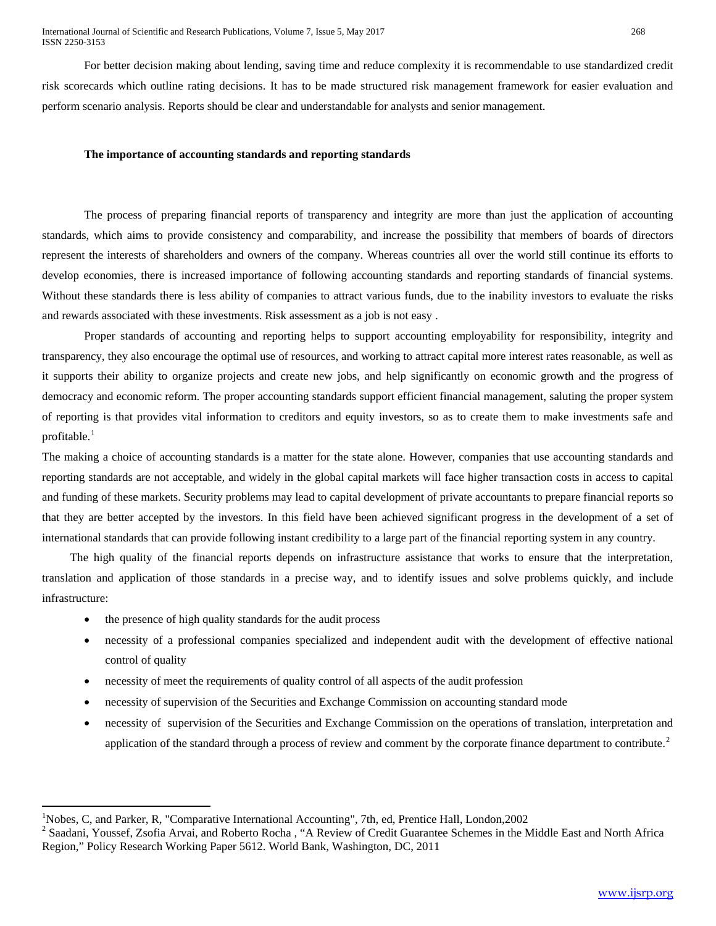International Journal of Scientific and Research Publications, Volume 7, Issue 5, May 2017 268 ISSN 2250-3153

For better decision making about lending, saving time and reduce complexity it is recommendable to use standardized credit risk scorecards which outline rating decisions. It has to be made structured risk management framework for easier evaluation and perform scenario analysis. Reports should be clear and understandable for analysts and senior management.

#### **The importance of accounting standards and reporting standards**

The process of preparing financial reports of transparency and integrity are more than just the application of accounting standards, which aims to provide consistency and comparability, and increase the possibility that members of boards of directors represent the interests of shareholders and owners of the company. Whereas countries all over the world still continue its efforts to develop economies, there is increased importance of following accounting standards and reporting standards of financial systems. Without these standards there is less ability of companies to attract various funds, due to the inability investors to evaluate the risks and rewards associated with these investments. Risk assessment as a job is not easy .

Proper standards of accounting and reporting helps to support accounting employability for responsibility, integrity and transparency, they also encourage the optimal use of resources, and working to attract capital more interest rates reasonable, as well as it supports their ability to organize projects and create new jobs, and help significantly on economic growth and the progress of democracy and economic reform. The proper accounting standards support efficient financial management, saluting the proper system of reporting is that provides vital information to creditors and equity investors, so as to create them to make investments safe and profitable.<sup>1</sup>

The making a choice of accounting standards is a matter for the state alone. However, companies that use accounting standards and reporting standards are not acceptable, and widely in the global capital markets will face higher transaction costs in access to capital and funding of these markets. Security problems may lead to capital development of private accountants to prepare financial reports so that they are better accepted by the investors. In this field have been achieved significant progress in the development of a set of international standards that can provide following instant credibility to a large part of the financial reporting system in any country.

The high quality of the financial reports depends on infrastructure assistance that works to ensure that the interpretation, translation and application of those standards in a precise way, and to identify issues and solve problems quickly, and include infrastructure:

the presence of high quality standards for the audit process

l

- necessity of a professional companies specialized and independent audit with the development of effective national control of quality
- necessity of meet the requirements of quality control of all aspects of the audit profession
- necessity of supervision of the Securities and Exchange Commission on accounting standard mode
- necessity of supervision of the Securities and Exchange Commission on the operations of translation, interpretation and application of the standard through a process of review and comment by the corporate finance department to contribute.<sup>2</sup>

<sup>&</sup>lt;sup>1</sup>Nobes, C, and Parker, R, "Comparative International Accounting", 7th, ed, Prentice Hall, London, 2002

 $2$  Saadani, Youssef, Zsofia Arvai, and Roberto Rocha, "A Review of Credit Guarantee Schemes in the Middle East and North Africa Region," Policy Research Working Paper 5612. World Bank, Washington, DC, 2011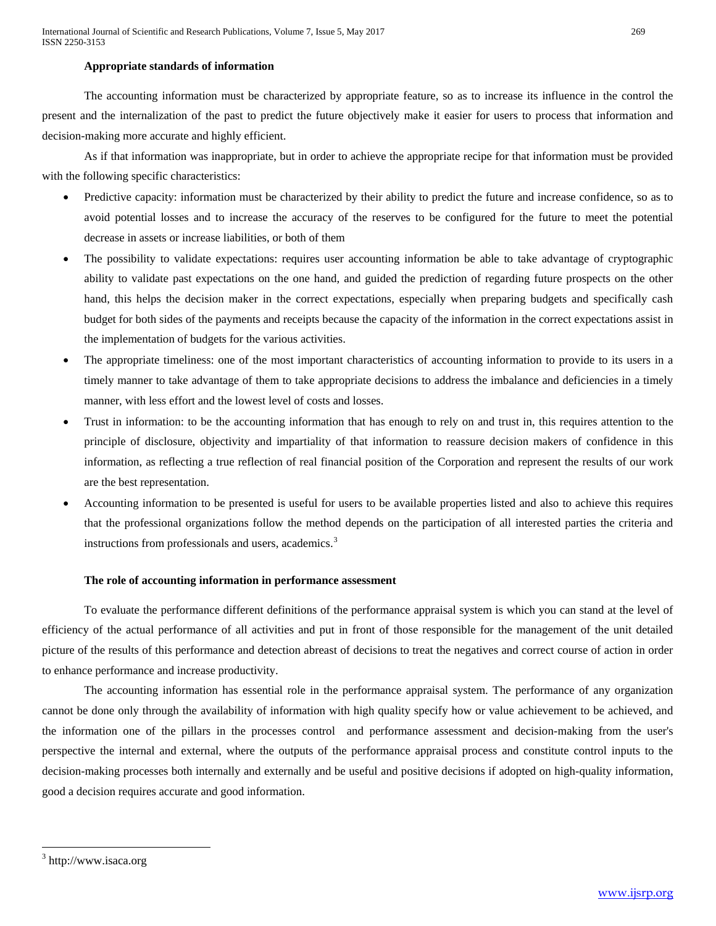## **Appropriate standards of information**

The accounting information must be characterized by appropriate feature, so as to increase its influence in the control the present and the internalization of the past to predict the future objectively make it easier for users to process that information and decision-making more accurate and highly efficient.

 As if that information was inappropriate, but in order to achieve the appropriate recipe for that information must be provided with the following specific characteristics:

- Predictive capacity: information must be characterized by their ability to predict the future and increase confidence, so as to avoid potential losses and to increase the accuracy of the reserves to be configured for the future to meet the potential decrease in assets or increase liabilities, or both of them
- The possibility to validate expectations: requires user accounting information be able to take advantage of cryptographic ability to validate past expectations on the one hand, and guided the prediction of regarding future prospects on the other hand, this helps the decision maker in the correct expectations, especially when preparing budgets and specifically cash budget for both sides of the payments and receipts because the capacity of the information in the correct expectations assist in the implementation of budgets for the various activities.
- The appropriate timeliness: one of the most important characteristics of accounting information to provide to its users in a timely manner to take advantage of them to take appropriate decisions to address the imbalance and deficiencies in a timely manner, with less effort and the lowest level of costs and losses.
- Trust in information: to be the accounting information that has enough to rely on and trust in, this requires attention to the principle of disclosure, objectivity and impartiality of that information to reassure decision makers of confidence in this information, as reflecting a true reflection of real financial position of the Corporation and represent the results of our work are the best representation.
- Accounting information to be presented is useful for users to be available properties listed and also to achieve this requires that the professional organizations follow the method depends on the participation of all interested parties the criteria and instructions from professionals and users, academics.<sup>3</sup>

## **The role of accounting information in performance assessment**

To evaluate the performance different definitions of the performance appraisal system is which you can stand at the level of efficiency of the actual performance of all activities and put in front of those responsible for the management of the unit detailed picture of the results of this performance and detection abreast of decisions to treat the negatives and correct course of action in order to enhance performance and increase productivity.

The accounting information has essential role in the performance appraisal system. The performance of any organization cannot be done only through the availability of information with high quality specify how or value achievement to be achieved, and the information one of the pillars in the processes control and performance assessment and decision-making from the user's perspective the internal and external, where the outputs of the performance appraisal process and constitute control inputs to the decision-making processes both internally and externally and be useful and positive decisions if adopted on high-quality information, good a decision requires accurate and good information.

l

<sup>&</sup>lt;sup>3</sup> http://www.isaca.org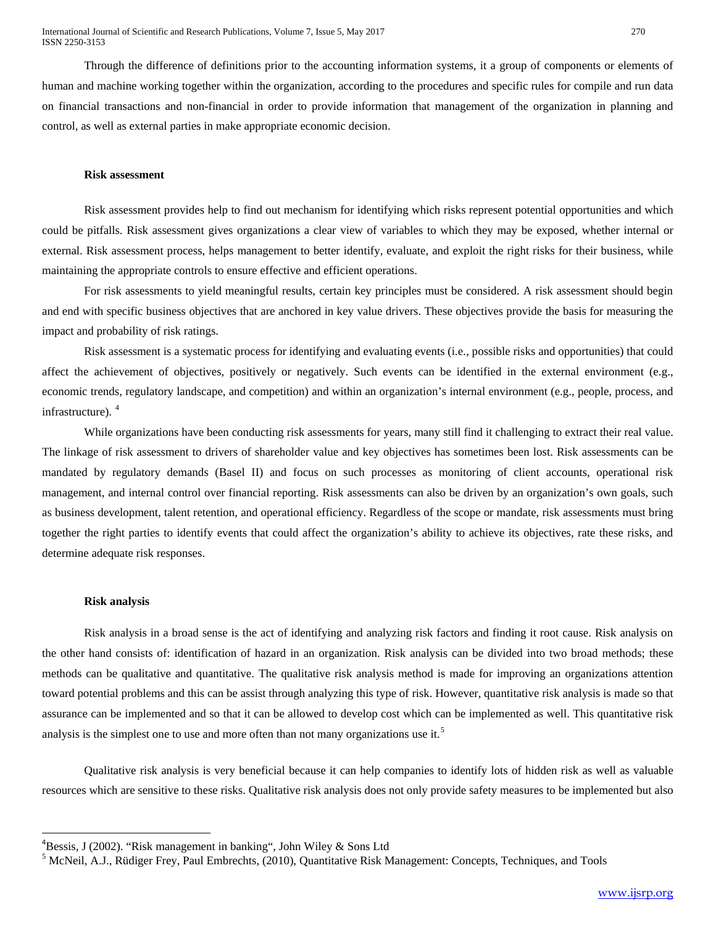Through the difference of definitions prior to the accounting information systems, it a group of components or elements of human and machine working together within the organization, according to the procedures and specific rules for compile and run data on financial transactions and non-financial in order to provide information that management of the organization in planning and control, as well as external parties in make appropriate economic decision.

#### **Risk assessment**

Risk assessment provides help to find out mechanism for identifying which risks represent potential opportunities and which could be pitfalls. Risk assessment gives organizations a clear view of variables to which they may be exposed, whether internal or external. Risk assessment process, helps management to better identify, evaluate, and exploit the right risks for their business, while maintaining the appropriate controls to ensure effective and efficient operations.

For risk assessments to yield meaningful results, certain key principles must be considered. A risk assessment should begin and end with specific business objectives that are anchored in key value drivers. These objectives provide the basis for measuring the impact and probability of risk ratings.

Risk assessment is a systematic process for identifying and evaluating events (i.e., possible risks and opportunities) that could affect the achievement of objectives, positively or negatively. Such events can be identified in the external environment (e.g., economic trends, regulatory landscape, and competition) and within an organization's internal environment (e.g., people, process, and infrastructure).<sup>4</sup>

While organizations have been conducting risk assessments for years, many still find it challenging to extract their real value. The linkage of risk assessment to drivers of shareholder value and key objectives has sometimes been lost. Risk assessments can be mandated by regulatory demands (Basel II) and focus on such processes as monitoring of client accounts, operational risk management, and internal control over financial reporting. Risk assessments can also be driven by an organization's own goals, such as business development, talent retention, and operational efficiency. Regardless of the scope or mandate, risk assessments must bring together the right parties to identify events that could affect the organization's ability to achieve its objectives, rate these risks, and determine adequate risk responses.

#### **Risk analysis**

Risk analysis in a broad sense is the act of identifying and analyzing risk factors and finding it root cause. Risk analysis on the other hand consists of: identification of hazard in an organization. Risk analysis can be divided into two broad methods; these methods can be qualitative and quantitative. The qualitative risk analysis method is made for improving an organizations attention toward potential problems and this can be assist through analyzing this type of risk. However, quantitative risk analysis is made so that assurance can be implemented and so that it can be allowed to develop cost which can be implemented as well. This quantitative risk analysis is the simplest one to use and more often than not many organizations use it.<sup>5</sup>

Qualitative risk analysis is very beneficial because it can help companies to identify lots of hidden risk as well as valuable resources which are sensitive to these risks. Qualitative risk analysis does not only provide safety measures to be implemented but also

ــ<br>4  ${}^{4}$ Bessis, J (2002). "Risk management in banking", John Wiley & Sons Ltd

<span id="page-3-0"></span><sup>5</sup> McNeil, A.J., Rüdiger Frey, Paul Embrechts, (2010), Quantitative Risk Management: Concepts, Techniques, and Tools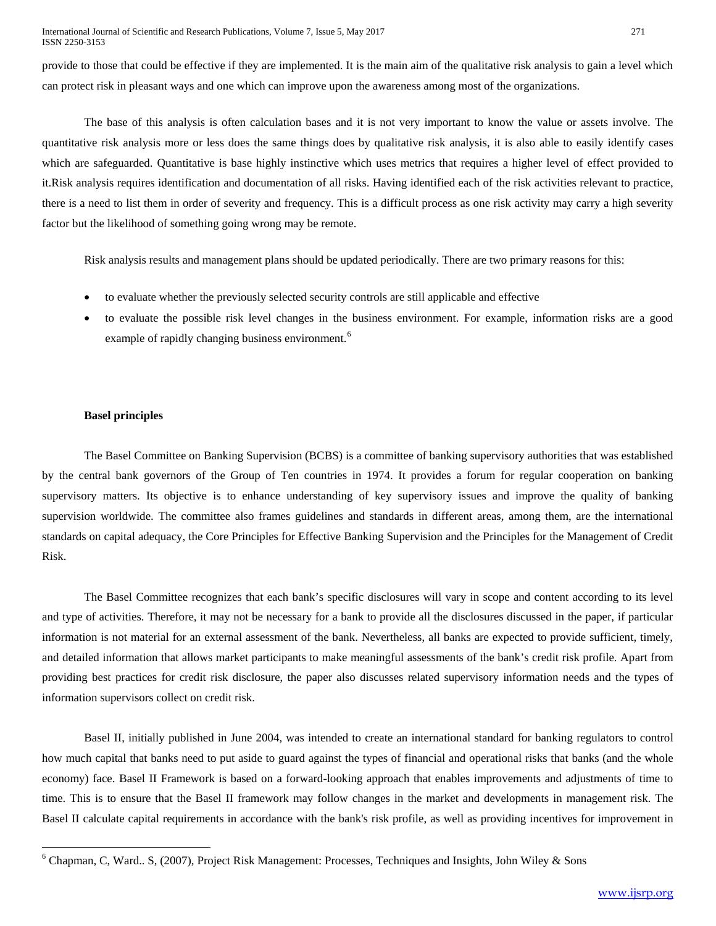provide to those that could be effective if they are implemented. It is the main aim of the qualitative risk analysis to gain a level which can protect risk in pleasant ways and one which can improve upon the awareness among most of the organizations.

The base of this analysis is often calculation bases and it is not very important to know the value or assets involve. The quantitative risk analysis more or less does the same things does by qualitative risk analysis, it is also able to easily identify cases which are safeguarded. Quantitative is base highly instinctive which uses metrics that requires a higher level of effect provided to it.Risk analysis requires identification and documentation of all risks. Having identified each of the risk activities relevant to practice, there is a need to list them in order of severity and frequency. This is a difficult process as one risk activity may carry a high severity factor but the likelihood of something going wrong may be remote.

Risk analysis results and management plans should be updated periodically. There are two primary reasons for this:

- to evaluate whether the previously selected security controls are still applicable and effective
- to evaluate the possible risk level changes in the business environment. For example, information risks are a good example of rapidly changing business environment.<sup>[6](#page-3-0)</sup>

# **Basel principles**

<span id="page-4-0"></span>l

The Basel Committee on Banking Supervision (BCBS) is a committee of banking supervisory authorities that was established by the central bank governors of the Group of Ten countries in 1974. It provides a forum for regular cooperation on banking supervisory matters. Its objective is to enhance understanding of key supervisory issues and improve the quality of banking supervision worldwide. The committee also frames guidelines and standards in different areas, among them, are the international standards on capital adequacy, the Core Principles for Effective Banking Supervision and the Principles for the Management of Credit Risk.

The Basel Committee recognizes that each bank's specific disclosures will vary in scope and content according to its level and type of activities. Therefore, it may not be necessary for a bank to provide all the disclosures discussed in the paper, if particular information is not material for an external assessment of the bank. Nevertheless, all banks are expected to provide sufficient, timely, and detailed information that allows market participants to make meaningful assessments of the bank's credit risk profile. Apart from providing best practices for credit risk disclosure, the paper also discusses related supervisory information needs and the types of information supervisors collect on credit risk.

Basel II, initially published in June 2004, was intended to create an international standard for banking regulators to control how much capital that banks need to put aside to guard against the types of financial and operational risks that banks (and the whole economy) face. Basel II Framework is based on a forward-looking approach that enables improvements and adjustments of time to time. This is to ensure that the Basel II framework may follow changes in the market and developments in management risk. The Basel II calculate capital requirements in accordance with the bank's risk profile, as well as providing incentives for improvement in

 $6$  Chapman, C, Ward.. S, (2007), Project Risk Management: Processes, Techniques and Insights, John Wiley & Sons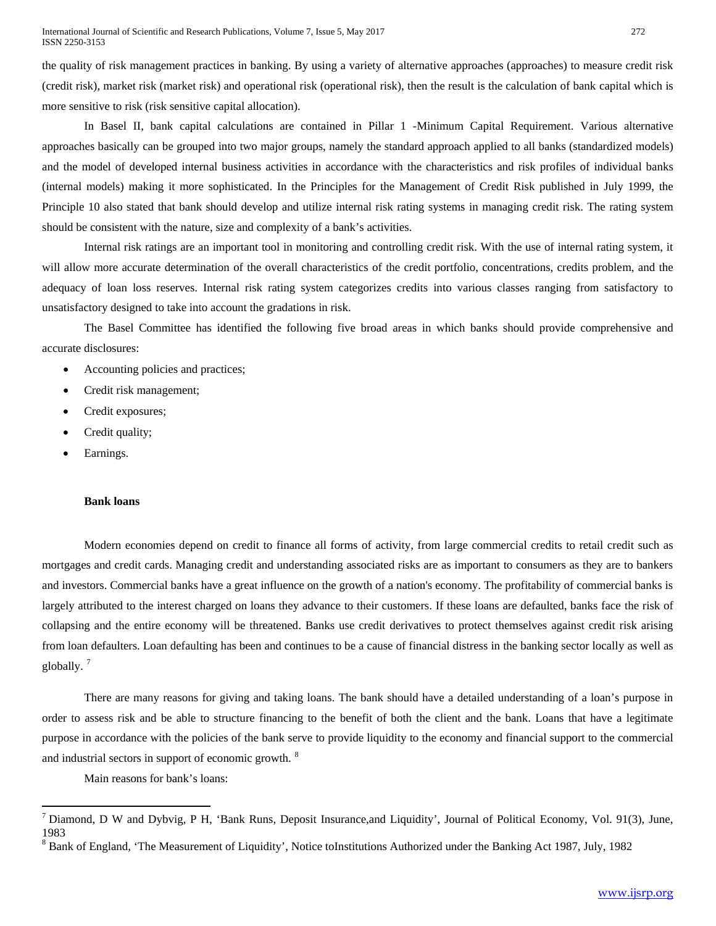the quality of risk management practices in banking. By using a variety of alternative approaches (approaches) to measure credit risk (credit risk), market risk (market risk) and operational risk (operational risk), then the result is the calculation of bank capital which is more sensitive to risk (risk sensitive capital allocation).

In Basel II, bank capital calculations are contained in Pillar 1 -Minimum Capital Requirement. Various alternative approaches basically can be grouped into two major groups, namely the standard approach applied to all banks (standardized models) and the model of developed internal business activities in accordance with the characteristics and risk profiles of individual banks (internal models) making it more sophisticated. In the Principles for the Management of Credit Risk published in July 1999, the Principle 10 also stated that bank should develop and utilize internal risk rating systems in managing credit risk. The rating system should be consistent with the nature, size and complexity of a bank's activities.

Internal risk ratings are an important tool in monitoring and controlling credit risk. With the use of internal rating system, it will allow more accurate determination of the overall characteristics of the credit portfolio, concentrations, credits problem, and the adequacy of loan loss reserves. Internal risk rating system categorizes credits into various classes ranging from satisfactory to unsatisfactory designed to take into account the gradations in risk.

The Basel Committee has identified the following five broad areas in which banks should provide comprehensive and accurate disclosures:

- Accounting policies and practices;
- Credit risk management;
- Credit exposures;
- Credit quality;
- Earnings.

## **Bank loans**

Modern economies depend on credit to finance all forms of activity, from large commercial credits to retail credit such as mortgages and credit cards. Managing credit and understanding associated risks are as important to consumers as they are to bankers and investors. Commercial banks have a great influence on the growth of a nation's economy. The profitability of commercial banks is largely attributed to the interest charged on loans they advance to their customers. If these loans are defaulted, banks face the risk of collapsing and the entire economy will be threatened. Banks use credit derivatives to protect themselves against credit risk arising from loan defaulters. Loan defaulting has been and continues to be a cause of financial distress in the banking sector locally as well as globally.  $7$ 

There are many reasons for giving and taking loans. The bank should have a detailed understanding of a loan's purpose in order to assess risk and be able to structure financing to the benefit of both the client and the bank. Loans that have a legitimate purpose in accordance with the policies of the bank serve to provide liquidity to the economy and financial support to the commercial and industrial sectors in support of economic growth. [8](#page-5-0)

Main reasons for bank's loans:

l

<span id="page-5-1"></span><span id="page-5-0"></span><sup>&</sup>lt;sup>7</sup> Diamond, D W and Dybvig, P H, 'Bank Runs, Deposit Insurance, and Liquidity', Journal of Political Economy, Vol. 91(3), June, 1983

 $8$  Bank of England, 'The Measurement of Liquidity', Notice toInstitutions Authorized under the Banking Act 1987, July, 1982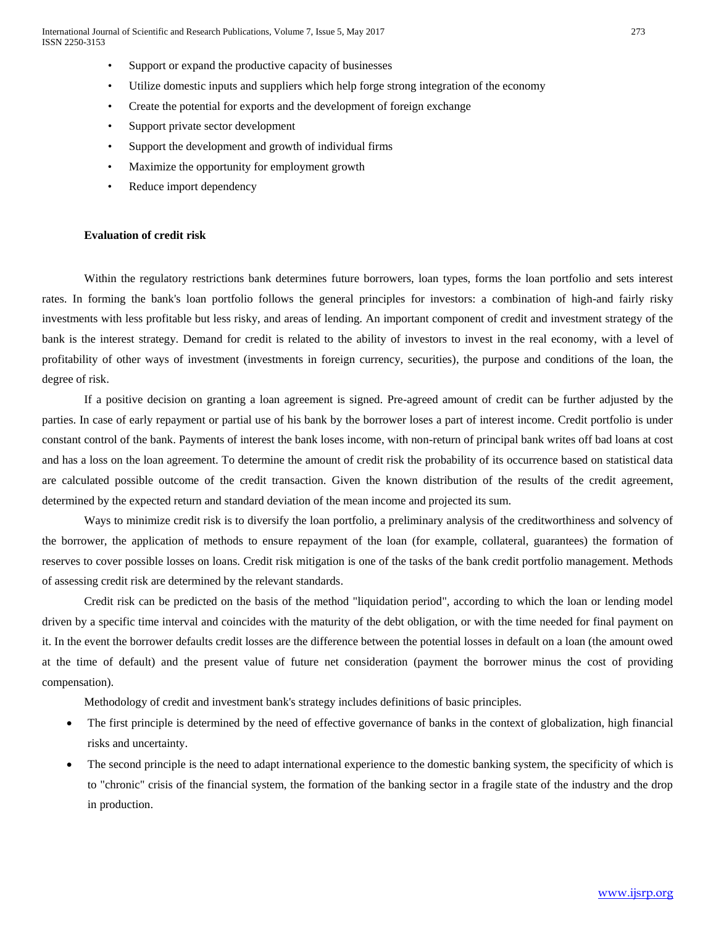- Support or expand the productive capacity of businesses
- Utilize domestic inputs and suppliers which help forge strong integration of the economy
- Create the potential for exports and the development of foreign exchange
- Support private sector development
- Support the development and growth of individual firms
- Maximize the opportunity for employment growth
- Reduce import dependency

## **Evaluation of credit risk**

Within the regulatory restrictions bank determines future borrowers, loan types, forms the loan portfolio and sets interest rates. In forming the bank's loan portfolio follows the general principles for investors: a combination of high-and fairly risky investments with less profitable but less risky, and areas of lending. An important component of credit and investment strategy of the bank is the interest strategy. Demand for credit is related to the ability of investors to invest in the real economy, with a level of profitability of other ways of investment (investments in foreign currency, securities), the purpose and conditions of the loan, the degree of risk.

If a positive decision on granting a loan agreement is signed. Pre-agreed amount of credit can be further adjusted by the parties. In case of early repayment or partial use of his bank by the borrower loses a part of interest income. Credit portfolio is under constant control of the bank. Payments of interest the bank loses income, with non-return of principal bank writes off bad loans at cost and has a loss on the loan agreement. To determine the amount of credit risk the probability of its occurrence based on statistical data are calculated possible outcome of the credit transaction. Given the known distribution of the results of the credit agreement, determined by the expected return and standard deviation of the mean income and projected its sum.

Ways to minimize credit risk is to diversify the loan portfolio, a preliminary analysis of the creditworthiness and solvency of the borrower, the application of methods to ensure repayment of the loan (for example, collateral, guarantees) the formation of reserves to cover possible losses on loans. Credit risk mitigation is one of the tasks of the bank credit portfolio management. Methods of assessing credit risk are determined by the relevant standards.

Credit risk can be predicted on the basis of the method "liquidation period", according to which the loan or lending model driven by a specific time interval and coincides with the maturity of the debt obligation, or with the time needed for final payment on it. In the event the borrower defaults credit losses are the difference between the potential losses in default on a loan (the amount owed at the time of default) and the present value of future net consideration (payment the borrower minus the cost of providing compensation).

Methodology of credit and investment bank's strategy includes definitions of basic principles.

- The first principle is determined by the need of effective governance of banks in the context of globalization, high financial risks and uncertainty.
- The second principle is the need to adapt international experience to the domestic banking system, the specificity of which is to "chronic" crisis of the financial system, the formation of the banking sector in a fragile state of the industry and the drop in production.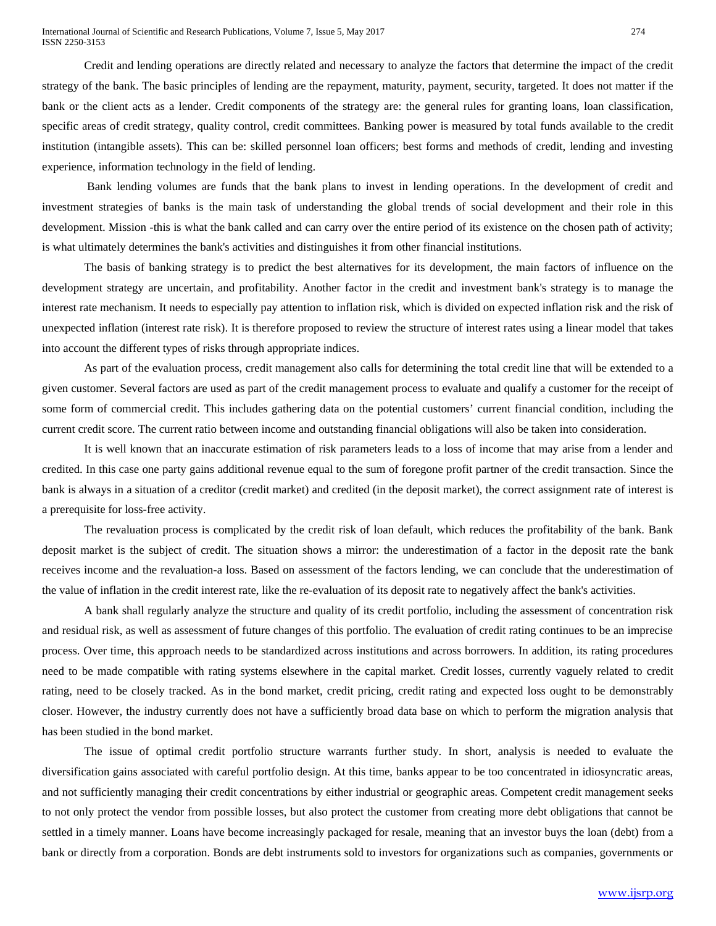Credit and lending operations are directly related and necessary to analyze the factors that determine the impact of the credit strategy of the bank. The basic principles of lending are the repayment, maturity, payment, security, targeted. It does not matter if the bank or the client acts as a lender. Credit components of the strategy are: the general rules for granting loans, loan classification, specific areas of credit strategy, quality control, credit committees. Banking power is measured by total funds available to the credit institution (intangible assets). This can be: skilled personnel loan officers; best forms and methods of credit, lending and investing experience, information technology in the field of lending.

Bank lending volumes are funds that the bank plans to invest in lending operations. In the development of credit and investment strategies of banks is the main task of understanding the global trends of social development and their role in this development. Mission -this is what the bank called and can carry over the entire period of its existence on the chosen path of activity; is what ultimately determines the bank's activities and distinguishes it from other financial institutions.

The basis of banking strategy is to predict the best alternatives for its development, the main factors of influence on the development strategy are uncertain, and profitability. Another factor in the credit and investment bank's strategy is to manage the interest rate mechanism. It needs to especially pay attention to inflation risk, which is divided on expected inflation risk and the risk of unexpected inflation (interest rate risk). It is therefore proposed to review the structure of interest rates using a linear model that takes into account the different types of risks through appropriate indices.

As part of the evaluation process, credit management also calls for determining the total credit line that will be extended to a given customer. Several factors are used as part of the credit management process to evaluate and qualify a customer for the receipt of some form of commercial credit. This includes gathering data on the potential customers' current financial condition, including the current credit score. The current ratio between income and outstanding financial obligations will also be taken into consideration.

It is well known that an inaccurate estimation of risk parameters leads to a loss of income that may arise from a lender and credited. In this case one party gains additional revenue equal to the sum of foregone profit partner of the credit transaction. Since the bank is always in a situation of a creditor (credit market) and credited (in the deposit market), the correct assignment rate of interest is a prerequisite for loss-free activity.

The revaluation process is complicated by the credit risk of loan default, which reduces the profitability of the bank. Bank deposit market is the subject of credit. The situation shows a mirror: the underestimation of a factor in the deposit rate the bank receives income and the revaluation-a loss. Based on assessment of the factors lending, we can conclude that the underestimation of the value of inflation in the credit interest rate, like the re-evaluation of its deposit rate to negatively affect the bank's activities.

A bank shall regularly analyze the structure and quality of its credit portfolio, including the assessment of concentration risk and residual risk, as well as assessment of future changes of this portfolio. The evaluation of credit rating continues to be an imprecise process. Over time, this approach needs to be standardized across institutions and across borrowers. In addition, its rating procedures need to be made compatible with rating systems elsewhere in the capital market. Credit losses, currently vaguely related to credit rating, need to be closely tracked. As in the bond market, credit pricing, credit rating and expected loss ought to be demonstrably closer. However, the industry currently does not have a sufficiently broad data base on which to perform the migration analysis that has been studied in the bond market.

The issue of optimal credit portfolio structure warrants further study. In short, analysis is needed to evaluate the diversification gains associated with careful portfolio design. At this time, banks appear to be too concentrated in idiosyncratic areas, and not sufficiently managing their credit concentrations by either industrial or geographic areas. Competent credit management seeks to not only protect the vendor from possible losses, but also protect the customer from creating more debt obligations that cannot be settled in a timely manner. Loans have become increasingly packaged for resale, meaning that an investor buys the loan (debt) from a bank or directly from a corporation. Bonds are debt instruments sold to investors for organizations such as companies, governments or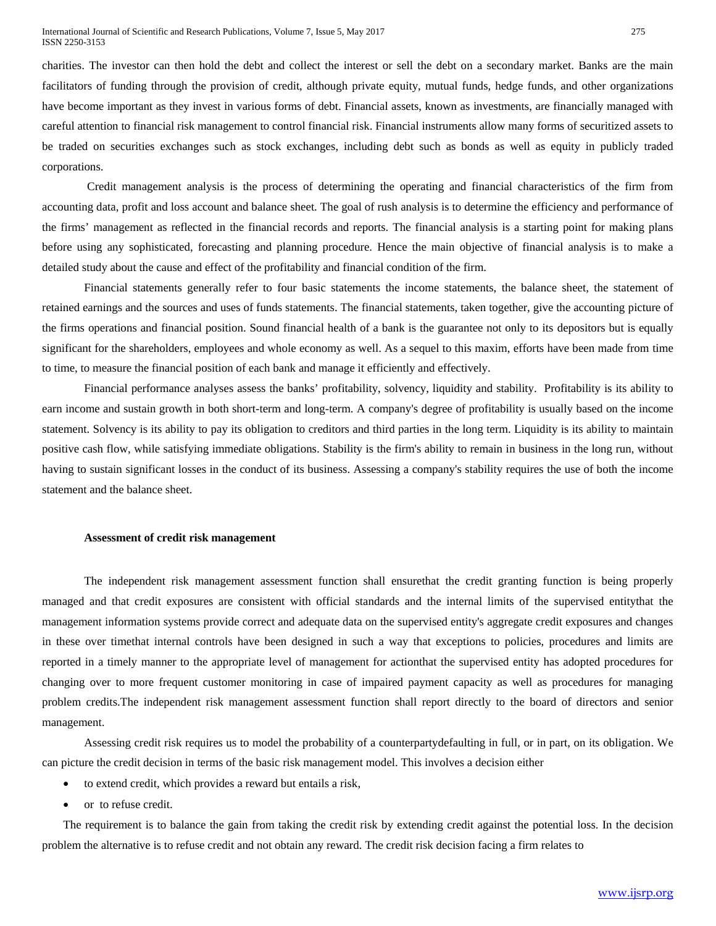charities. The investor can then hold the debt and collect the interest or sell the debt on a secondary market. Banks are the main facilitators of funding through the provision of credit, although private equity, mutual funds, hedge funds, and other organizations have become important as they invest in various forms of debt. Financial assets, known as investments, are financially managed with careful attention to financial risk management to control financial risk. Financial instruments allow many forms of securitized assets to be traded on securities exchanges such as stock exchanges, including debt such as bonds as well as equity in publicly traded corporations.

Credit management analysis is the process of determining the operating and financial characteristics of the firm from accounting data, profit and loss account and balance sheet. The goal of rush analysis is to determine the efficiency and performance of the firms' management as reflected in the financial records and reports. The financial analysis is a starting point for making plans before using any sophisticated, forecasting and planning procedure. Hence the main objective of financial analysis is to make a detailed study about the cause and effect of the profitability and financial condition of the firm.

Financial statements generally refer to four basic statements the income statements, the balance sheet, the statement of retained earnings and the sources and uses of funds statements. The financial statements, taken together, give the accounting picture of the firms operations and financial position. Sound financial health of a bank is the guarantee not only to its depositors but is equally significant for the shareholders, employees and whole economy as well. As a sequel to this maxim, efforts have been made from time to time, to measure the financial position of each bank and manage it efficiently and effectively.

Financial performance analyses assess the banks' profitability, solvency, liquidity and stability. Profitability is its ability to earn income and sustain growth in both short-term and long-term. A company's degree of profitability is usually based on the income statement. Solvency is its ability to pay its obligation to creditors and third parties in the long term. Liquidity is its ability to maintain positive cash flow, while satisfying immediate obligations. Stability is the firm's ability to remain in business in the long run, without having to sustain significant losses in the conduct of its business. Assessing a company's stability requires the use of both the income statement and the balance sheet.

#### **Assessment of credit risk management**

The independent risk management assessment function shall ensurethat the credit granting function is being properly managed and that credit exposures are consistent with official standards and the internal limits of the supervised entitythat the management information systems provide correct and adequate data on the supervised entity's aggregate credit exposures and changes in these over timethat internal controls have been designed in such a way that exceptions to policies, procedures and limits are reported in a timely manner to the appropriate level of management for actionthat the supervised entity has adopted procedures for changing over to more frequent customer monitoring in case of impaired payment capacity as well as procedures for managing problem credits.The independent risk management assessment function shall report directly to the board of directors and senior management.

Assessing credit risk requires us to model the probability of a counterpartydefaulting in full, or in part, on its obligation. We can picture the credit decision in terms of the basic risk management model. This involves a decision either

- to extend credit, which provides a reward but entails a risk,
- or to refuse credit.

The requirement is to balance the gain from taking the credit risk by extending credit against the potential loss. In the decision problem the alternative is to refuse credit and not obtain any reward. The credit risk decision facing a firm relates to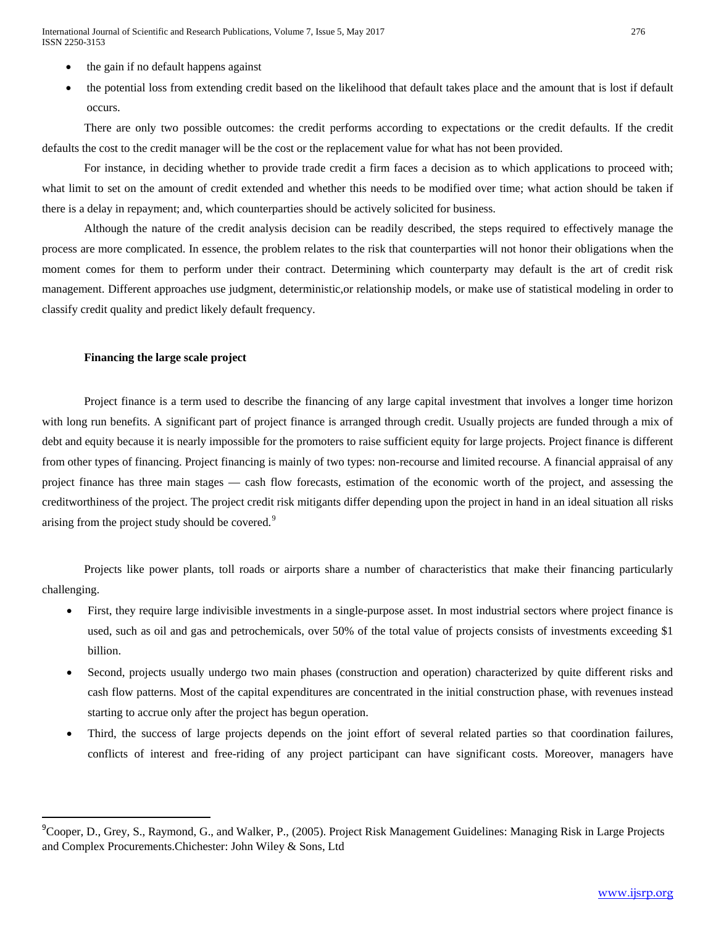International Journal of Scientific and Research Publications, Volume 7, Issue 5, May 2017 276 ISSN 2250-3153

- the gain if no default happens against
- the potential loss from extending credit based on the likelihood that default takes place and the amount that is lost if default occurs.

There are only two possible outcomes: the credit performs according to expectations or the credit defaults. If the credit defaults the cost to the credit manager will be the cost or the replacement value for what has not been provided.

For instance, in deciding whether to provide trade credit a firm faces a decision as to which applications to proceed with; what limit to set on the amount of credit extended and whether this needs to be modified over time; what action should be taken if there is a delay in repayment; and, which counterparties should be actively solicited for business.

Although the nature of the credit analysis decision can be readily described, the steps required to effectively manage the process are more complicated. In essence, the problem relates to the risk that counterparties will not honor their obligations when the moment comes for them to perform under their contract. Determining which counterparty may default is the art of credit risk management. Different approaches use judgment, deterministic,or relationship models, or make use of statistical modeling in order to classify credit quality and predict likely default frequency.

#### **Financing the large scale project**

Project finance is a term used to describe the financing of any large capital investment that involves a longer time horizon with long run benefits. A significant part of project finance is arranged through credit. Usually projects are funded through a mix of debt and equity because it is nearly impossible for the promoters to raise sufficient equity for large projects. Project finance is different from other types of financing. Project financing is mainly of two types: non-recourse and limited recourse. A financial appraisal of any project finance has three main stages — cash flow forecasts, estimation of the economic worth of the project, and assessing the creditworthiness of the project. The project credit risk mitigants differ depending upon the project in hand in an ideal situation all risks arising from the project study should be covered.<sup>[9](#page-5-1)</sup>

Projects like power plants, toll roads or airports share a number of characteristics that make their financing particularly challenging.

- First, they require large indivisible investments in a single-purpose asset. In most industrial sectors where project finance is used, such as oil and gas and petrochemicals, over 50% of the total value of projects consists of investments exceeding \$1 billion.
- Second, projects usually undergo two main phases (construction and operation) characterized by quite different risks and cash flow patterns. Most of the capital expenditures are concentrated in the initial construction phase, with revenues instead starting to accrue only after the project has begun operation.
- Third, the success of large projects depends on the joint effort of several related parties so that coordination failures, conflicts of interest and free-riding of any project participant can have significant costs. Moreover, managers have

<span id="page-9-0"></span> <sup>9</sup>  $^9$ Cooper, D., Grey, S., Raymond, G., and Walker, P., (2005). Project Risk Management Guidelines: Managing Risk in Large Projects and Complex Procurements.Chichester: John Wiley & Sons, Ltd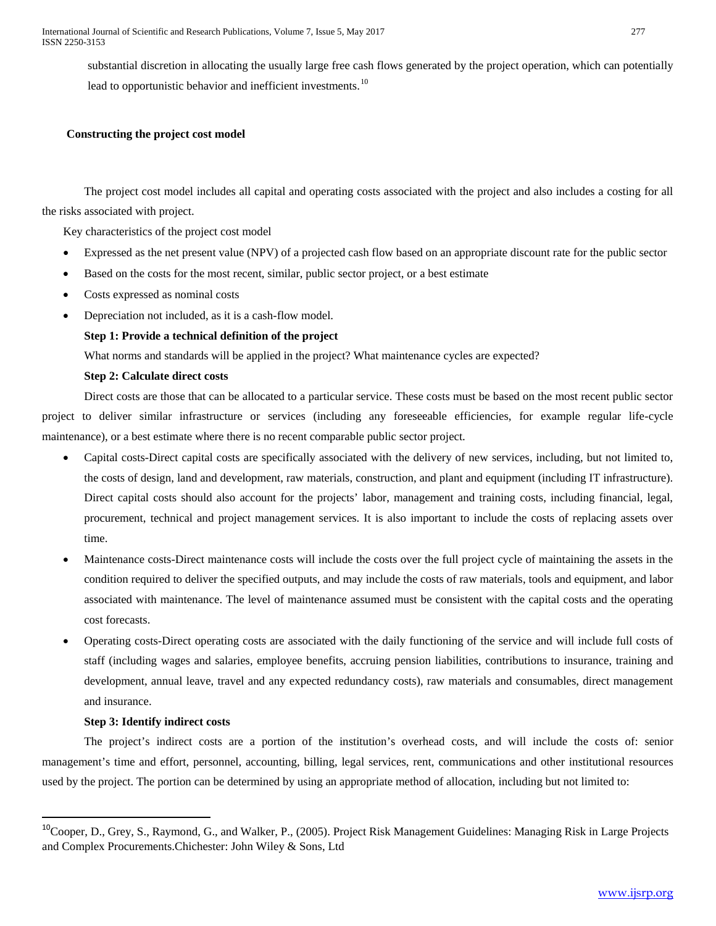substantial discretion in allocating the usually large free cash flows generated by the project operation, which can potentially lead to opportunistic behavior and inefficient investments.<sup>[10](#page-9-0)</sup>

# **Constructing the project cost model**

The project cost model includes all capital and operating costs associated with the project and also includes a costing for all the risks associated with project.

Key characteristics of the project cost model

- Expressed as the net present value (NPV) of a projected cash flow based on an appropriate discount rate for the public sector
- Based on the costs for the most recent, similar, public sector project, or a best estimate
- Costs expressed as nominal costs
- Depreciation not included, as it is a cash-flow model.

# **Step 1: Provide a technical definition of the project**

What norms and standards will be applied in the project? What maintenance cycles are expected?

## **Step 2: Calculate direct costs**

Direct costs are those that can be allocated to a particular service. These costs must be based on the most recent public sector project to deliver similar infrastructure or services (including any foreseeable efficiencies, for example regular life-cycle maintenance), or a best estimate where there is no recent comparable public sector project.

- Capital costs-Direct capital costs are specifically associated with the delivery of new services, including, but not limited to, the costs of design, land and development, raw materials, construction, and plant and equipment (including IT infrastructure). Direct capital costs should also account for the projects' labor, management and training costs, including financial, legal, procurement, technical and project management services. It is also important to include the costs of replacing assets over time.
- Maintenance costs-Direct maintenance costs will include the costs over the full project cycle of maintaining the assets in the condition required to deliver the specified outputs, and may include the costs of raw materials, tools and equipment, and labor associated with maintenance. The level of maintenance assumed must be consistent with the capital costs and the operating cost forecasts.
- Operating costs-Direct operating costs are associated with the daily functioning of the service and will include full costs of staff (including wages and salaries, employee benefits, accruing pension liabilities, contributions to insurance, training and development, annual leave, travel and any expected redundancy costs), raw materials and consumables, direct management and insurance.

## **Step 3: Identify indirect costs**

The project's indirect costs are a portion of the institution's overhead costs, and will include the costs of: senior management's time and effort, personnel, accounting, billing, legal services, rent, communications and other institutional resources used by the project. The portion can be determined by using an appropriate method of allocation, including but not limited to:

<sup>&</sup>lt;sup>10</sup>Cooper, D., Grey, S., Raymond, G., and Walker, P., (2005). Project Risk Management Guidelines: Managing Risk in Large Projects and Complex Procurements.Chichester: John Wiley & Sons, Ltd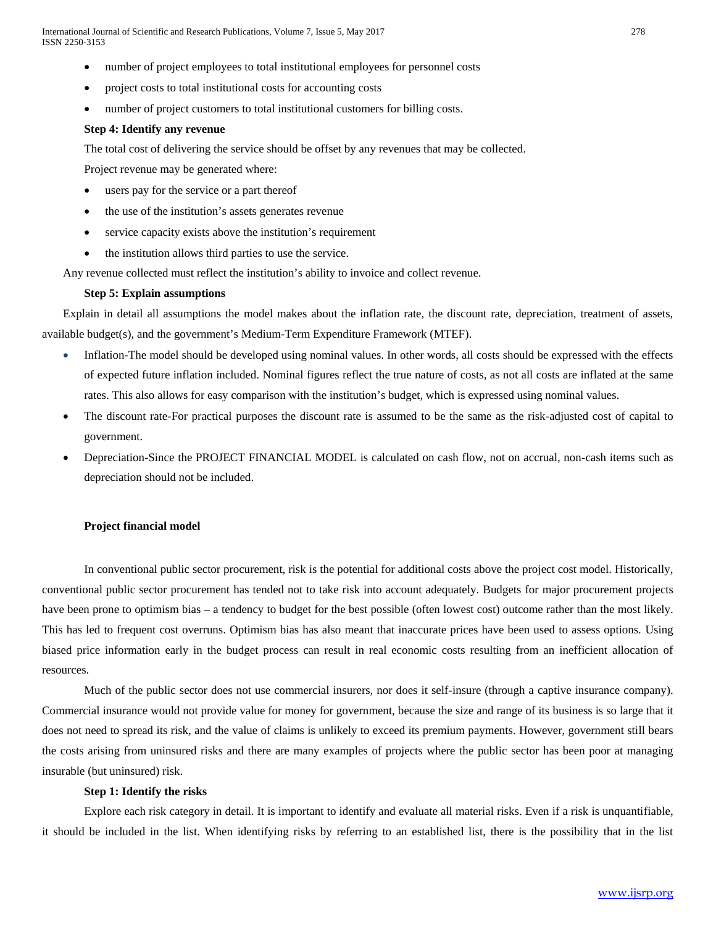- number of project employees to total institutional employees for personnel costs
- project costs to total institutional costs for accounting costs
- number of project customers to total institutional customers for billing costs.

#### **Step 4: Identify any revenue**

The total cost of delivering the service should be offset by any revenues that may be collected.

Project revenue may be generated where:

- users pay for the service or a part thereof
- the use of the institution's assets generates revenue
- service capacity exists above the institution's requirement
- the institution allows third parties to use the service.

Any revenue collected must reflect the institution's ability to invoice and collect revenue.

#### **Step 5: Explain assumptions**

Explain in detail all assumptions the model makes about the inflation rate, the discount rate, depreciation, treatment of assets, available budget(s), and the government's Medium-Term Expenditure Framework (MTEF).

- Inflation-The model should be developed using nominal values. In other words, all costs should be expressed with the effects of expected future inflation included. Nominal figures reflect the true nature of costs, as not all costs are inflated at the same rates. This also allows for easy comparison with the institution's budget, which is expressed using nominal values.
- The discount rate-For practical purposes the discount rate is assumed to be the same as the risk-adjusted cost of capital to government.
- Depreciation-Since the PROJECT FINANCIAL MODEL is calculated on cash flow, not on accrual, non-cash items such as depreciation should not be included.

#### **Project financial model**

In conventional public sector procurement, risk is the potential for additional costs above the project cost model. Historically, conventional public sector procurement has tended not to take risk into account adequately. Budgets for major procurement projects have been prone to optimism bias – a tendency to budget for the best possible (often lowest cost) outcome rather than the most likely. This has led to frequent cost overruns. Optimism bias has also meant that inaccurate prices have been used to assess options. Using biased price information early in the budget process can result in real economic costs resulting from an inefficient allocation of resources.

Much of the public sector does not use commercial insurers, nor does it self-insure (through a captive insurance company). Commercial insurance would not provide value for money for government, because the size and range of its business is so large that it does not need to spread its risk, and the value of claims is unlikely to exceed its premium payments. However, government still bears the costs arising from uninsured risks and there are many examples of projects where the public sector has been poor at managing insurable (but uninsured) risk.

### **Step 1: Identify the risks**

Explore each risk category in detail. It is important to identify and evaluate all material risks. Even if a risk is unquantifiable, it should be included in the list. When identifying risks by referring to an established list, there is the possibility that in the list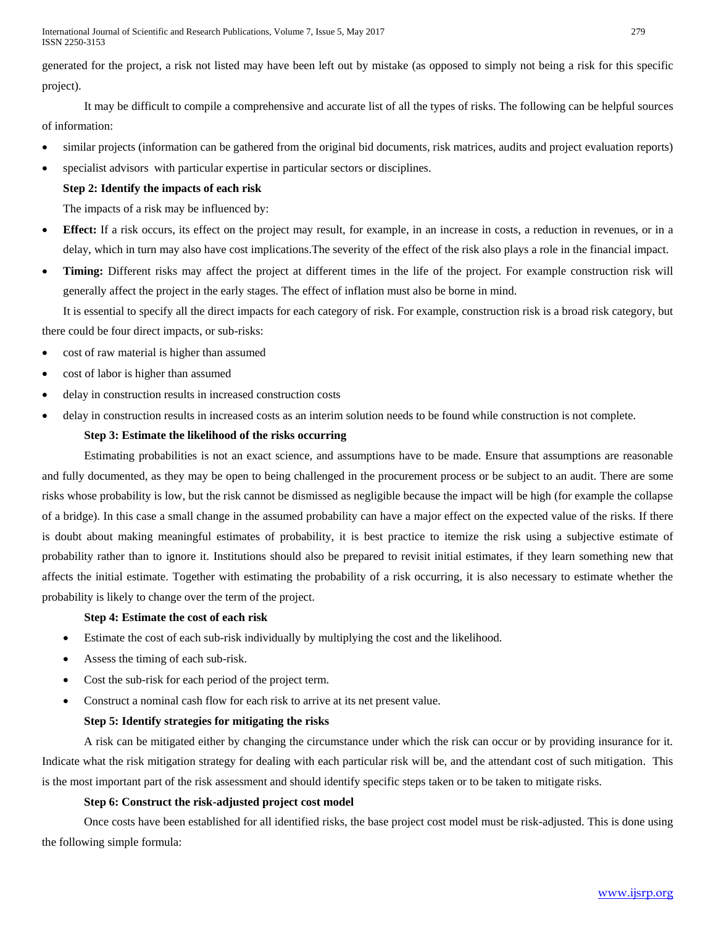International Journal of Scientific and Research Publications, Volume 7, Issue 5, May 2017 279 ISSN 2250-3153

generated for the project, a risk not listed may have been left out by mistake (as opposed to simply not being a risk for this specific project).

It may be difficult to compile a comprehensive and accurate list of all the types of risks. The following can be helpful sources of information:

- similar projects (information can be gathered from the original bid documents, risk matrices, audits and project evaluation reports)
- specialist advisors with particular expertise in particular sectors or disciplines.

# **Step 2: Identify the impacts of each risk**

The impacts of a risk may be influenced by:

- **Effect:** If a risk occurs, its effect on the project may result, for example, in an increase in costs, a reduction in revenues, or in a delay, which in turn may also have cost implications.The severity of the effect of the risk also plays a role in the financial impact.
- **Timing:** Different risks may affect the project at different times in the life of the project. For example construction risk will generally affect the project in the early stages. The effect of inflation must also be borne in mind.

It is essential to specify all the direct impacts for each category of risk. For example, construction risk is a broad risk category, but there could be four direct impacts, or sub-risks:

- cost of raw material is higher than assumed
- cost of labor is higher than assumed
- delay in construction results in increased construction costs
- delay in construction results in increased costs as an interim solution needs to be found while construction is not complete.

## **Step 3: Estimate the likelihood of the risks occurring**

Estimating probabilities is not an exact science, and assumptions have to be made. Ensure that assumptions are reasonable and fully documented, as they may be open to being challenged in the procurement process or be subject to an audit. There are some risks whose probability is low, but the risk cannot be dismissed as negligible because the impact will be high (for example the collapse of a bridge). In this case a small change in the assumed probability can have a major effect on the expected value of the risks. If there is doubt about making meaningful estimates of probability, it is best practice to itemize the risk using a subjective estimate of probability rather than to ignore it. Institutions should also be prepared to revisit initial estimates, if they learn something new that affects the initial estimate. Together with estimating the probability of a risk occurring, it is also necessary to estimate whether the probability is likely to change over the term of the project.

## **Step 4: Estimate the cost of each risk**

- Estimate the cost of each sub-risk individually by multiplying the cost and the likelihood.
- Assess the timing of each sub-risk.
- Cost the sub-risk for each period of the project term.
- Construct a nominal cash flow for each risk to arrive at its net present value.

## **Step 5: Identify strategies for mitigating the risks**

A risk can be mitigated either by changing the circumstance under which the risk can occur or by providing insurance for it. Indicate what the risk mitigation strategy for dealing with each particular risk will be, and the attendant cost of such mitigation. This is the most important part of the risk assessment and should identify specific steps taken or to be taken to mitigate risks.

## **Step 6: Construct the risk-adjusted project cost model**

Once costs have been established for all identified risks, the base project cost model must be risk-adjusted. This is done using the following simple formula: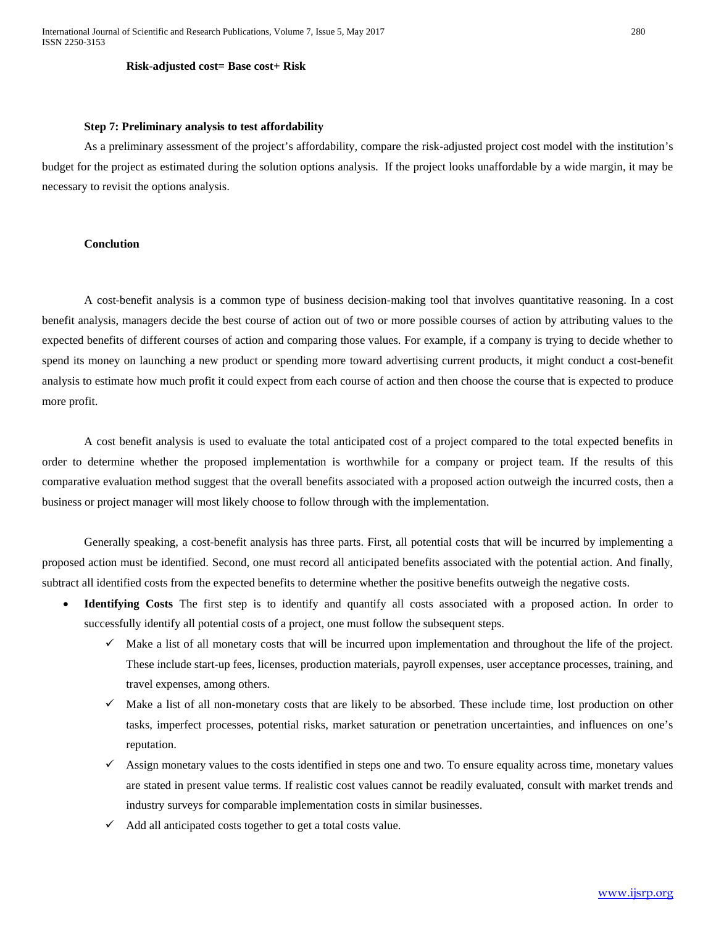#### **Risk-adjusted cost= Base cost+ Risk**

#### **Step 7: Preliminary analysis to test affordability**

As a preliminary assessment of the project's affordability, compare the risk-adjusted project cost model with the institution's budget for the project as estimated during the solution options analysis. If the project looks unaffordable by a wide margin, it may be necessary to revisit the options analysis.

#### **Conclution**

A cost-benefit analysis is a common type of business decision-making tool that involves quantitative reasoning. In a cost benefit analysis, managers decide the best course of action out of two or more possible courses of action by attributing values to the expected benefits of different courses of action and comparing those values. For example, if a company is trying to decide whether to spend its money on launching a new product or spending more toward advertising current products, it might conduct a cost-benefit analysis to estimate how much profit it could expect from each course of action and then choose the course that is expected to produce more profit.

A cost benefit analysis is used to evaluate the total anticipated cost of a project compared to the total expected benefits in order to determine whether the proposed implementation is worthwhile for a company or project team. If the results of this comparative evaluation method suggest that the overall benefits associated with a proposed action outweigh the incurred costs, then a business or project manager will most likely choose to follow through with the implementation.

Generally speaking, a cost-benefit analysis has three parts. First, all potential costs that will be incurred by implementing a proposed action must be identified. Second, one must record all anticipated benefits associated with the potential action. And finally, subtract all identified costs from the expected benefits to determine whether the positive benefits outweigh the negative costs.

- **Identifying Costs** The first step is to identify and quantify all costs associated with a proposed action. In order to successfully identify all potential costs of a project, one must follow the subsequent steps.
	- $\checkmark$  Make a list of all monetary costs that will be incurred upon implementation and throughout the life of the project. These include start-up fees, licenses, production materials, payroll expenses, user acceptance processes, training, and travel expenses, among others.
	- $\checkmark$  Make a list of all non-monetary costs that are likely to be absorbed. These include time, lost production on other tasks, imperfect processes, potential risks, market saturation or penetration uncertainties, and influences on one's reputation.
	- $\checkmark$  Assign monetary values to the costs identified in steps one and two. To ensure equality across time, monetary values are stated in present value terms. If realistic cost values cannot be readily evaluated, consult with market trends and industry surveys for comparable implementation costs in similar businesses.
	- $\checkmark$  Add all anticipated costs together to get a total costs value.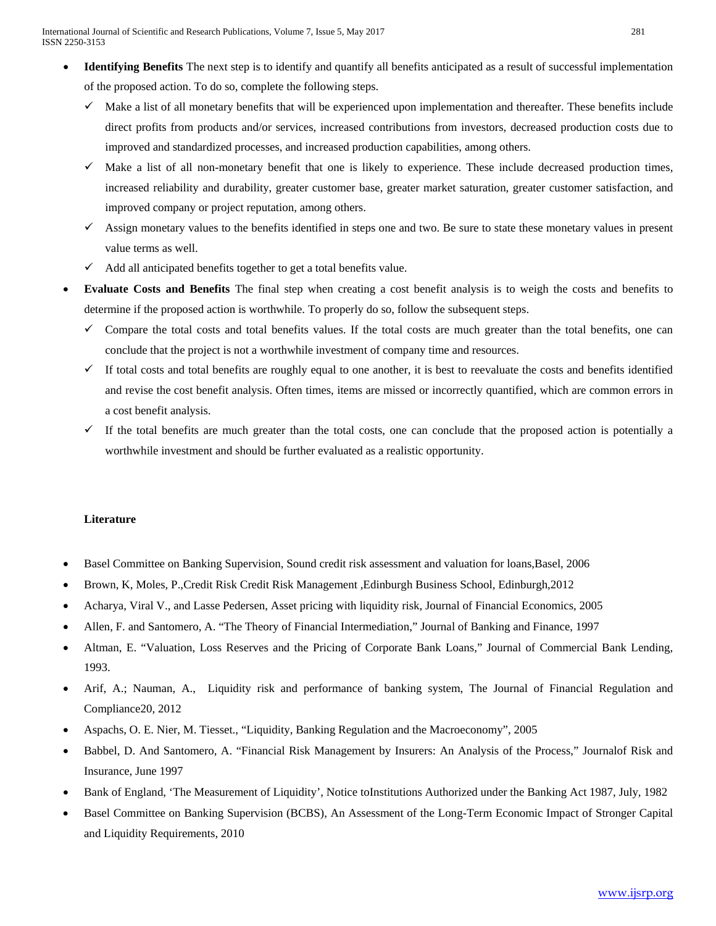- **Identifying Benefits** The next step is to identify and quantify all benefits anticipated as a result of successful implementation of the proposed action. To do so, complete the following steps.
	- $\checkmark$  Make a list of all monetary benefits that will be experienced upon implementation and thereafter. These benefits include direct profits from products and/or services, increased contributions from investors, decreased production costs due to improved and standardized processes, and increased production capabilities, among others.
	- Make a list of all non-monetary benefit that one is likely to experience. These include decreased production times, increased reliability and durability, greater customer base, greater market saturation, greater customer satisfaction, and improved company or project reputation, among others.
	- Assign monetary values to the benefits identified in steps one and two. Be sure to state these monetary values in present value terms as well.
	- Add all anticipated benefits together to get a total benefits value.
- **Evaluate Costs and Benefits** The final step when creating a cost benefit analysis is to weigh the costs and benefits to determine if the proposed action is worthwhile. To properly do so, follow the subsequent steps.
	- $\checkmark$  Compare the total costs and total benefits values. If the total costs are much greater than the total benefits, one can conclude that the project is not a worthwhile investment of company time and resources.
	- If total costs and total benefits are roughly equal to one another, it is best to reevaluate the costs and benefits identified and revise the cost benefit analysis. Often times, items are missed or [incorrectly quantified,](http://www.brighthubpm.com/project-planning/55091-use-project-cost-estimating-techniques-in-projects/) which are common errors in a cost benefit analysis.
	- $\checkmark$  If the total benefits are much greater than the total costs, one can conclude that the proposed action is potentially a worthwhile investment and should be further evaluated as a realistic opportunity.

# **Literature**

- Basel Committee on Banking Supervision, Sound credit risk assessment and valuation for loans,Basel, 2006
- Brown, K, Moles, P.,Credit Risk Credit Risk Management ,Edinburgh Business School, Edinburgh,2012
- Acharya, Viral V., and Lasse Pedersen, Asset pricing with liquidity risk, Journal of Financial Economics, 2005
- Allen, F. and Santomero, A. "The Theory of Financial Intermediation," Journal of Banking and Finance, 1997
- Altman, E. "Valuation, Loss Reserves and the Pricing of Corporate Bank Loans," Journal of Commercial Bank Lending, 1993.
- Arif, A.; Nauman, A., Liquidity risk and performance of banking system, The Journal of Financial Regulation and Compliance20, 2012
- Aspachs, O. E. Nier, M. Tiesset., "Liquidity, Banking Regulation and the Macroeconomy", 2005
- Babbel, D. And Santomero, A. "Financial Risk Management by Insurers: An Analysis of the Process," Journalof Risk and Insurance, June 1997
- Bank of England, 'The Measurement of Liquidity', Notice toInstitutions Authorized under the Banking Act 1987, July, 1982
- Basel Committee on Banking Supervision (BCBS), An Assessment of the Long-Term Economic Impact of Stronger Capital and Liquidity Requirements, 2010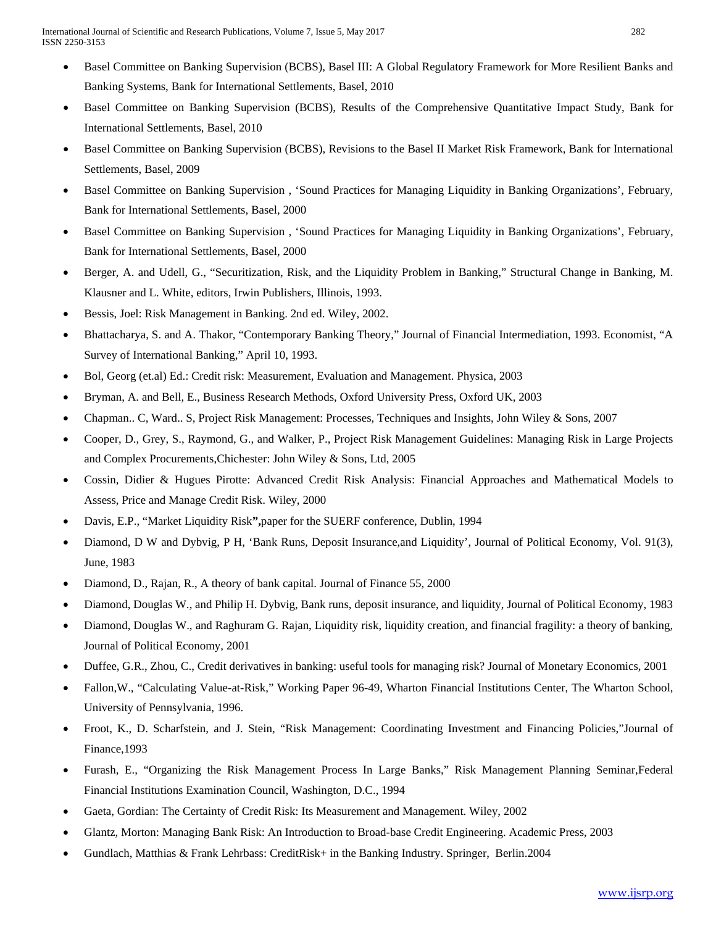- Basel Committee on Banking Supervision (BCBS), Basel III: A Global Regulatory Framework for More Resilient Banks and Banking Systems, Bank for International Settlements, Basel, 2010
- Basel Committee on Banking Supervision (BCBS), Results of the Comprehensive Quantitative Impact Study, Bank for International Settlements, Basel, 2010
- Basel Committee on Banking Supervision (BCBS), Revisions to the Basel II Market Risk Framework, Bank for International Settlements, Basel, 2009
- Basel Committee on Banking Supervision , 'Sound Practices for Managing Liquidity in Banking Organizations', February, Bank for International Settlements, Basel, 2000
- Basel Committee on Banking Supervision , 'Sound Practices for Managing Liquidity in Banking Organizations', February, Bank for International Settlements, Basel, 2000
- Berger, A. and Udell, G., "Securitization, Risk, and the Liquidity Problem in Banking," Structural Change in Banking, M. Klausner and L. White, editors, Irwin Publishers, Illinois, 1993.
- Bessis, Joel: Risk Management in Banking. 2nd ed. Wiley, 2002.
- Bhattacharya, S. and A. Thakor, "Contemporary Banking Theory," Journal of Financial Intermediation, 1993. Economist, "A Survey of International Banking," April 10, 1993.
- Bol, Georg (et.al) Ed.: Credit risk: Measurement, Evaluation and Management. Physica, 2003
- Bryman, A. and Bell, E., Business Research Methods, Oxford University Press, Oxford UK, 2003
- Chapman.. C, Ward.. S, Project Risk Management: Processes, Techniques and Insights, John Wiley & Sons, 2007
- Cooper, D., Grey, S., Raymond, G., and Walker, P., Project Risk Management Guidelines: Managing Risk in Large Projects and Complex Procurements,Chichester: John Wiley & Sons, Ltd, 2005
- Cossin, Didier & Hugues Pirotte: Advanced Credit Risk Analysis: Financial Approaches and Mathematical Models to Assess, Price and Manage Credit Risk. Wiley, 2000
- Davis, E.P., "Market Liquidity Risk**",**paper for the SUERF conference, Dublin, 1994
- Diamond, D W and Dybvig, P H, 'Bank Runs, Deposit Insurance,and Liquidity', Journal of Political Economy, Vol. 91(3), June, 1983
- Diamond, D., Rajan, R., A theory of bank capital. Journal of Finance 55, 2000
- Diamond, Douglas W., and Philip H. Dybvig, Bank runs, deposit insurance, and liquidity, Journal of Political Economy, 1983
- Diamond, Douglas W., and Raghuram G. Rajan, Liquidity risk, liquidity creation, and financial fragility: a theory of banking, Journal of Political Economy, 2001
- Duffee, G.R., Zhou, C., Credit derivatives in banking: useful tools for managing risk? Journal of Monetary Economics, 2001
- Fallon,W., "Calculating Value-at-Risk," Working Paper 96-49, Wharton Financial Institutions Center, The Wharton School, University of Pennsylvania, 1996.
- Froot, K., D. Scharfstein, and J. Stein, "Risk Management: Coordinating Investment and Financing Policies,"Journal of Finance,1993
- Furash, E., "Organizing the Risk Management Process In Large Banks," Risk Management Planning Seminar,Federal Financial Institutions Examination Council, Washington, D.C., 1994
- Gaeta, Gordian: The Certainty of Credit Risk: Its Measurement and Management. Wiley, 2002
- Glantz, Morton: Managing Bank Risk: An Introduction to Broad-base Credit Engineering. Academic Press, 2003
- Gundlach, Matthias & Frank Lehrbass: CreditRisk+ in the Banking Industry. Springer, Berlin.2004